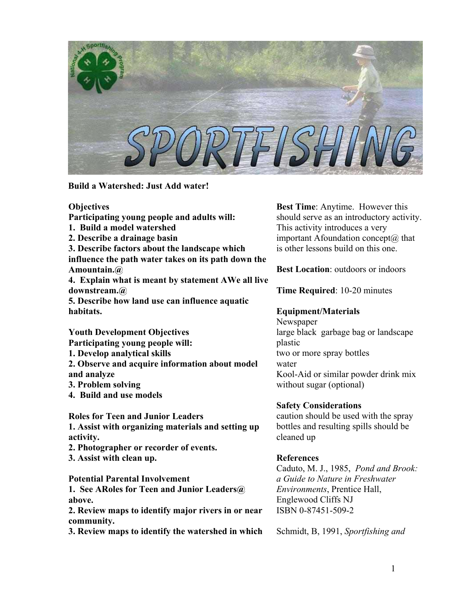

**Build a Watershed: Just Add water!** 

### **Objectives**

**Participating young people and adults will:** 

**1. Build a model watershed** 

**2. Describe a drainage basin** 

**3. Describe factors about the landscape which influence the path water takes on its path down the Amountain.@** 

**4. Explain what is meant by statement AWe all live downstream.@** 

**5. Describe how land use can influence aquatic habitats.** 

**Youth Development Objectives Participating young people will:** 

**1. Develop analytical skills** 

**2. Observe and acquire information about model and analyze**

- **3. Problem solving**
- **4. Build and use models**

**Roles for Teen and Junior Leaders 1. Assist with organizing materials and setting up activity.** 

- **2. Photographer or recorder of events.**
- **3. Assist with clean up.**

**Potential Parental Involvement** 

**1. See ARoles for Teen and Junior Leaders@ above.** 

**2. Review maps to identify major rivers in or near community.**

**3. Review maps to identify the watershed in which** 

**Best Time**: Anytime. However this should serve as an introductory activity. This activity introduces a very important Afoundation concept $(a)$  that is other lessons build on this one.

**Best Location**: outdoors or indoors

**Time Required**: 10-20 minutes

# **Equipment/Materials**

Newspaper large black garbage bag or landscape plastic two or more spray bottles water Kool-Aid or similar powder drink mix without sugar (optional)

### **Safety Considerations**

caution should be used with the spray bottles and resulting spills should be cleaned up

# **References**

Caduto, M. J., 1985, *Pond and Brook: a Guide to Nature in Freshwater Environments*, Prentice Hall, Englewood Cliffs NJ ISBN 0-87451-509-2

Schmidt, B, 1991, *Sportfishing and*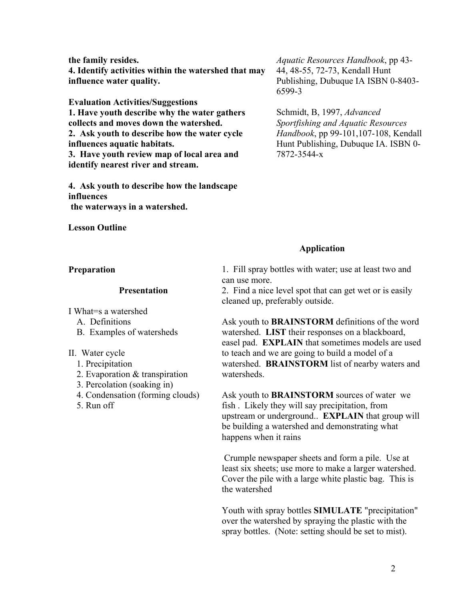**the family resides. 4. Identify activities within the watershed that may influence water quality.** 

**Evaluation Activities/Suggestions 1. Have youth describe why the water gathers collects and moves down the watershed. 2. Ask youth to describe how the water cycle influences aquatic habitats. 3. Have youth review map of local area and identify nearest river and stream.** 

**4. Ask youth to describe how the landscape influences the waterways in a watershed.** 

### **Lesson Outline**

### **Preparation**

#### **Presentation**

I What=s a watershed

- A. Definitions
- B. Examples of watersheds

#### II. Water cycle

- 1. Precipitation
- 2. Evaporation & transpiration
- 3. Percolation (soaking in)
- 4. Condensation (forming clouds)
- 5. Run off

*Aquatic Resources Handbook*, pp 43- 44, 48-55, 72-73, Kendall Hunt Publishing, Dubuque IA ISBN 0-8403- 6599-3

Schmidt, B, 1997, *Advanced Sportfishing and Aquatic Resources Handbook*, pp 99-101,107-108, Kendall Hunt Publishing, Dubuque IA. ISBN 0- 7872-3544-x

### **Application**

1. Fill spray bottles with water; use at least two and can use more.

2. Find a nice level spot that can get wet or is easily cleaned up, preferably outside.

Ask youth to **BRAINSTORM** definitions of the word watershed. **LIST** their responses on a blackboard, easel pad. **EXPLAIN** that sometimes models are used to teach and we are going to build a model of a watershed. **BRAINSTORM** list of nearby waters and watersheds.

Ask youth to **BRAINSTORM** sources of water we fish . Likely they will say precipitation, from upstream or underground.. **EXPLAIN** that group will be building a watershed and demonstrating what happens when it rains

 Crumple newspaper sheets and form a pile. Use at least six sheets; use more to make a larger watershed. Cover the pile with a large white plastic bag. This is the watershed

Youth with spray bottles **SIMULATE** "precipitation" over the watershed by spraying the plastic with the spray bottles. (Note: setting should be set to mist).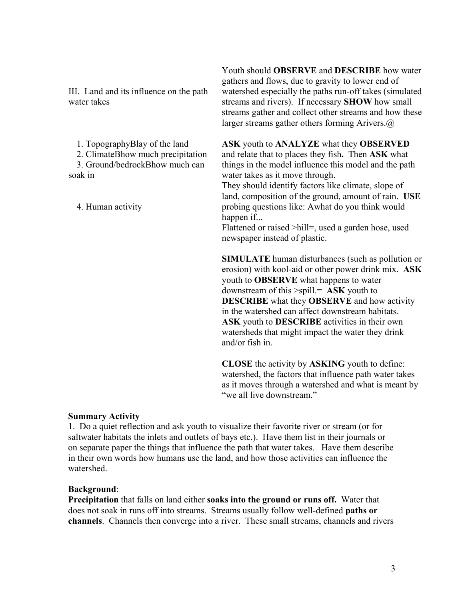III. Land and its influence on the path water takes

1. TopographyBlay of the land

2. ClimateBhow much precipitation

3. Ground/bedrockBhow much can soak in

4. Human activity

Youth should **OBSERVE** and **DESCRIBE** how water gathers and flows, due to gravity to lower end of watershed especially the paths run-off takes (simulated streams and rivers). If necessary **SHOW** how small streams gather and collect other streams and how these larger streams gather others forming Arivers.@

**ASK** youth to **ANALYZE** what they **OBSERVED** and relate that to places they fish**.** Then **ASK** what things in the model influence this model and the path water takes as it move through.

They should identify factors like climate, slope of land, composition of the ground, amount of rain. **USE**  probing questions like: Awhat do you think would happen if...

Flattened or raised >hill=, used a garden hose, used newspaper instead of plastic.

**SIMULATE** human disturbances (such as pollution or erosion) with kool-aid or other power drink mix. **ASK** youth to **OBSERVE** what happens to water downstream of this >spill.= **ASK** youth to **DESCRIBE** what they **OBSERVE** and how activity in the watershed can affect downstream habitats. **ASK** youth to **DESCRIBE** activities in their own watersheds that might impact the water they drink and/or fish in.

**CLOSE** the activity by **ASKING** youth to define: watershed, the factors that influence path water takes as it moves through a watershed and what is meant by "we all live downstream"

### **Summary Activity**

1. Do a quiet reflection and ask youth to visualize their favorite river or stream (or for saltwater habitats the inlets and outlets of bays etc.). Have them list in their journals or on separate paper the things that influence the path that water takes. Have them describe in their own words how humans use the land, and how those activities can influence the watershed.

### **Background**:

**Precipitation** that falls on land either **soaks into the ground or runs off.** Water that does not soak in runs off into streams. Streams usually follow well-defined **paths or channels**. Channels then converge into a river. These small streams, channels and rivers